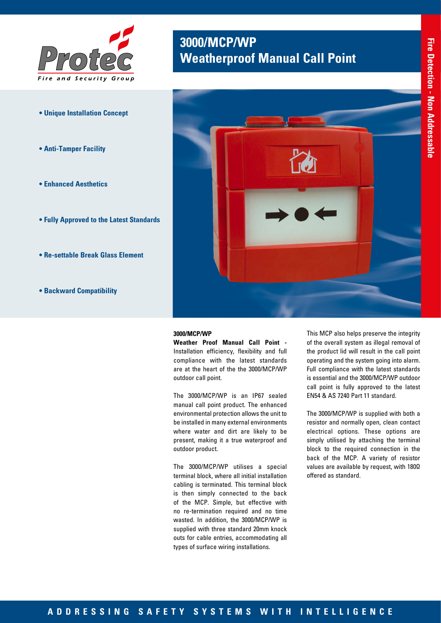

- **Unique Installation Concept**
- **Anti-Tamper Facility**
- **Enhanced Aesthetics**
- **Fully Approved to the Latest Standards**
- **Re-settable Break Glass Element**
- **Backward Compatibility**

## **3000/MCP/WP Weatherproof Manual Call Point**



#### **3000/MCP/WP**

**Weather Proof Manual Call Point -**  Installation efficiency, flexibility and full compliance with the latest standards are at the heart of the the 3000/MCP/WP outdoor call point.

The 3000/MCP/WP is an IP67 sealed manual call point product. The enhanced environmental protection allows the unit to be installed in many external environments where water and dirt are likely to be present, making it a true waterproof and outdoor product.

The 3000/MCP/WP utilises a special terminal block, where all initial installation cabling is terminated. This terminal block is then simply connected to the back of the MCP. Simple, but effective with no re-termination required and no time wasted. In addition, the 3000/MCP/WP is supplied with three standard 20mm knock outs for cable entries, accommodating all types of surface wiring installations.

This MCP also helps preserve the integrity of the overall system as illegal removal of the product lid will result in the call point operating and the system going into alarm. Full compliance with the latest standards is essential and the 3000/MCP/WP outdoor call point is fully approved to the latest EN54 & AS 7240 Part 11 standard.

The 3000/MCP/WP is supplied with both a resistor and normally open, clean contact electrical options. These options are simply utilised by attaching the terminal block to the required connection in the back of the MCP. A variety of resistor values are available by request, with 180Ω offered as standard.